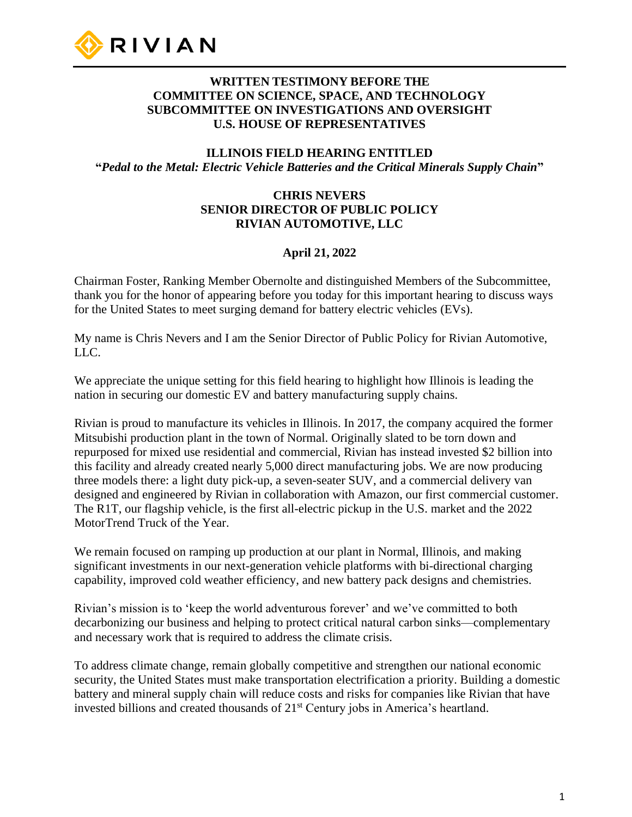

### **WRITTEN TESTIMONY BEFORE THE COMMITTEE ON SCIENCE, SPACE, AND TECHNOLOGY SUBCOMMITTEE ON INVESTIGATIONS AND OVERSIGHT U.S. HOUSE OF REPRESENTATIVES**

### **ILLINOIS FIELD HEARING ENTITLED "***Pedal to the Metal: Electric Vehicle Batteries and the Critical Minerals Supply Chain***"**

### **CHRIS NEVERS SENIOR DIRECTOR OF PUBLIC POLICY RIVIAN AUTOMOTIVE, LLC**

### **April 21, 2022**

Chairman Foster, Ranking Member Obernolte and distinguished Members of the Subcommittee, thank you for the honor of appearing before you today for this important hearing to discuss ways for the United States to meet surging demand for battery electric vehicles (EVs).

My name is Chris Nevers and I am the Senior Director of Public Policy for Rivian Automotive, LLC.

We appreciate the unique setting for this field hearing to highlight how Illinois is leading the nation in securing our domestic EV and battery manufacturing supply chains.

Rivian is proud to manufacture its vehicles in Illinois. In 2017, the company acquired the former Mitsubishi production plant in the town of Normal. Originally slated to be torn down and repurposed for mixed use residential and commercial, Rivian has instead invested \$2 billion into this facility and already created nearly 5,000 direct manufacturing jobs. We are now producing three models there: a light duty pick-up, a seven-seater SUV, and a commercial delivery van designed and engineered by Rivian in collaboration with Amazon, our first commercial customer. The R1T, our flagship vehicle, is the first all-electric pickup in the U.S. market and the 2022 MotorTrend Truck of the Year.

We remain focused on ramping up production at our plant in Normal, Illinois, and making significant investments in our next-generation vehicle platforms with bi-directional charging capability, improved cold weather efficiency, and new battery pack designs and chemistries.

Rivian's mission is to 'keep the world adventurous forever' and we've committed to both decarbonizing our business and helping to protect critical natural carbon sinks—complementary and necessary work that is required to address the climate crisis.

To address climate change, remain globally competitive and strengthen our national economic security, the United States must make transportation electrification a priority. Building a domestic battery and mineral supply chain will reduce costs and risks for companies like Rivian that have invested billions and created thousands of 21st Century jobs in America's heartland.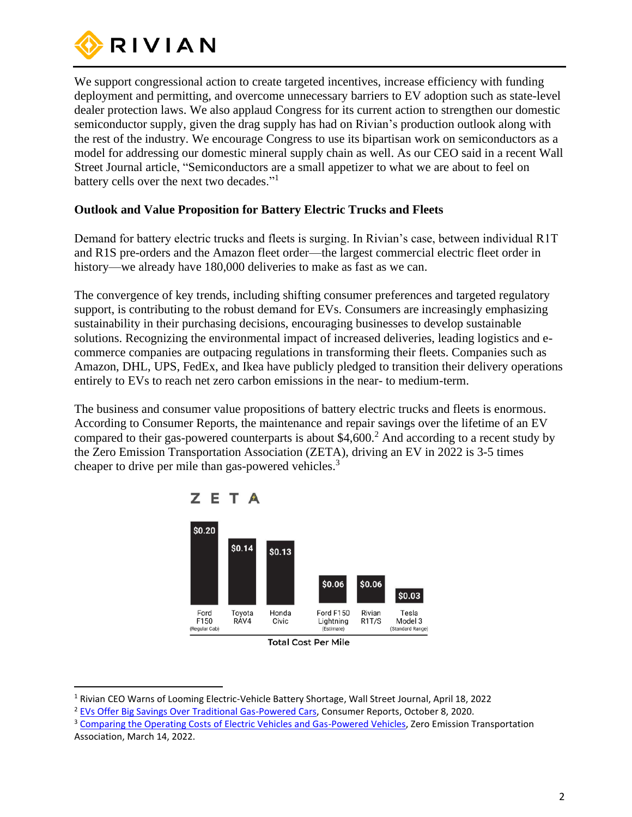

We support congressional action to create targeted incentives, increase efficiency with funding deployment and permitting, and overcome unnecessary barriers to EV adoption such as state-level dealer protection laws. We also applaud Congress for its current action to strengthen our domestic semiconductor supply, given the drag supply has had on Rivian's production outlook along with the rest of the industry. We encourage Congress to use its bipartisan work on semiconductors as a model for addressing our domestic mineral supply chain as well. As our CEO said in a recent Wall Street Journal article, "Semiconductors are a small appetizer to what we are about to feel on battery cells over the next two decades."<sup>1</sup>

### **Outlook and Value Proposition for Battery Electric Trucks and Fleets**

Demand for battery electric trucks and fleets is surging. In Rivian's case, between individual R1T and R1S pre-orders and the Amazon fleet order—the largest commercial electric fleet order in history—we already have 180,000 deliveries to make as fast as we can.

The convergence of key trends, including shifting consumer preferences and targeted regulatory support, is contributing to the robust demand for EVs. Consumers are increasingly emphasizing sustainability in their purchasing decisions, encouraging businesses to develop sustainable solutions. Recognizing the environmental impact of increased deliveries, leading logistics and ecommerce companies are outpacing regulations in transforming their fleets. Companies such as Amazon, DHL, UPS, FedEx, and Ikea have publicly pledged to transition their delivery operations entirely to EVs to reach net zero carbon emissions in the near- to medium-term.

The business and consumer value propositions of battery electric trucks and fleets is enormous. According to Consumer Reports, the maintenance and repair savings over the lifetime of an EV compared to their gas-powered counterparts is about  $$4,600.<sup>2</sup>$  And according to a recent study by the Zero Emission Transportation Association (ZETA), driving an EV in 2022 is 3-5 times cheaper to drive per mile than gas-powered vehicles.<sup>3</sup>



**Total Cost Per Mile** 

<sup>1</sup> Rivian CEO Warns of Looming Electric-Vehicle Battery Shortage, Wall Street Journal, April 18, 2022

<sup>2</sup> [EVs Offer Big Savings Over Traditional Gas-Powered Cars,](https://www.consumerreports.org/hybrids-evs/evs-offer-big-savings-over-traditional-gas-powered-cars/) Consumer Reports, October 8, 2020.

<sup>&</sup>lt;sup>3</sup> [Comparing the Operating Costs of Electric Vehicles and Gas-Powered Vehicles,](https://www.zeta2030.org/news/electric-vehicles-are-delivering-marked-cost-savings-for-drivers-and-surging-gasoline-prices-are-making-the-cost-savings-increasingly-apparent?utm_medium=email&_hsmi=206779825&_hsenc=p2ANqtz--iRH8xNt93lJfpOuSbypw4k1kHa34Hx7e1lkRSsai5zFOK8aacVaDh0h2Xwc7wtmSxETwWcPSWKwZcCMJBJ0eAXaZBxw&utm_content=206779825&utm_source=hs_email) Zero Emission Transportation Association, March 14, 2022.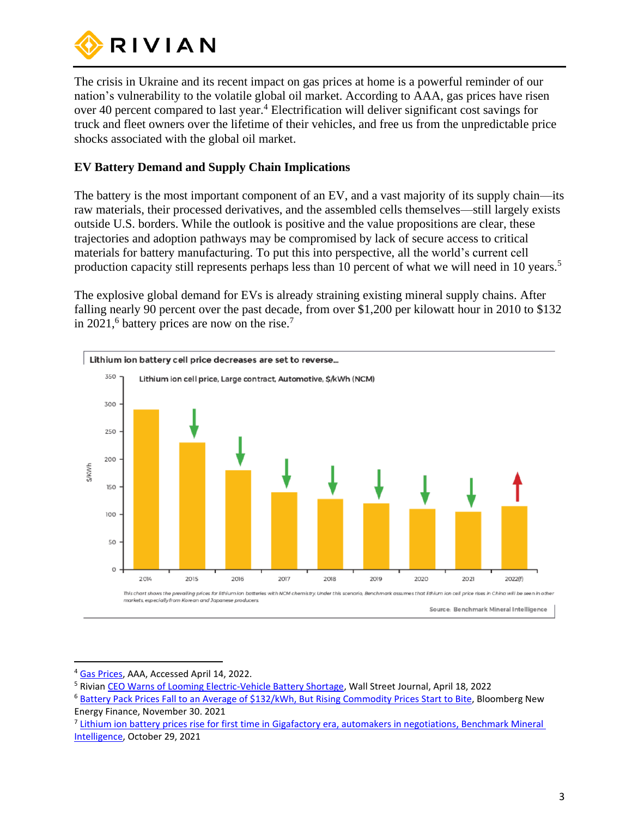

The crisis in Ukraine and its recent impact on gas prices at home is a powerful reminder of our nation's vulnerability to the volatile global oil market. According to AAA, gas prices have risen over 40 percent compared to last year.<sup>4</sup> Electrification will deliver significant cost savings for truck and fleet owners over the lifetime of their vehicles, and free us from the unpredictable price shocks associated with the global oil market.

## **EV Battery Demand and Supply Chain Implications**

The battery is the most important component of an EV, and a vast majority of its supply chain—its raw materials, their processed derivatives, and the assembled cells themselves—still largely exists outside U.S. borders. While the outlook is positive and the value propositions are clear, these trajectories and adoption pathways may be compromised by lack of secure access to critical materials for battery manufacturing. To put this into perspective, all the world's current cell production capacity still represents perhaps less than 10 percent of what we will need in 10 years.<sup>5</sup>

The explosive global demand for EVs is already straining existing mineral supply chains. After falling nearly 90 percent over the past decade, from over \$1,200 per kilowatt hour in 2010 to \$132 in 2021,<sup>6</sup> battery prices are now on the rise.<sup>7</sup>



<sup>&</sup>lt;sup>4</sup> [Gas Prices,](https://gasprices.aaa.com/) AAA, Accessed April 14, 2022.

<sup>5</sup> Rivia[n CEO Warns of Looming Electric-Vehicle Battery Shortage,](https://www.wsj.com/articles/rivian-ceo-warns-of-looming-electric-vehicle-battery-shortage-11650276000) Wall Street Journal, April 18, 2022

<sup>6</sup> [Battery Pack Prices Fall to an Average of \\$132/kWh, But Rising Commodity Prices Start to Bite,](https://about.bnef.com/blog/battery-pack-prices-fall-to-an-average-of-132-kwh-but-rising-commodity-prices-start-to-bite/) Bloomberg New Energy Finance, November 30. 2021

<sup>&</sup>lt;sup>7</sup> Lithium ion battery prices rise for first time in Gigafactory era, automakers in negotiations, Benchmark Mineral [Intelligence,](https://int.nyt.com/data/documenttools/2021-10-lithium-ion-battery-price-rises-benchmark/dded2631fe8dc130/full.pdf) October 29, 2021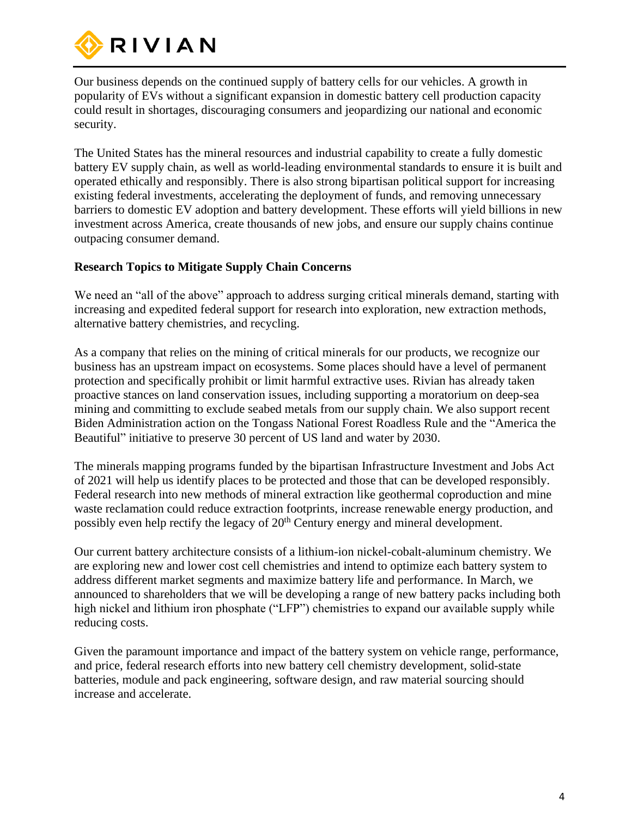

Our business depends on the continued supply of battery cells for our vehicles. A growth in popularity of EVs without a significant expansion in domestic battery cell production capacity could result in shortages, discouraging consumers and jeopardizing our national and economic security.

The United States has the mineral resources and industrial capability to create a fully domestic battery EV supply chain, as well as world-leading environmental standards to ensure it is built and operated ethically and responsibly. There is also strong bipartisan political support for increasing existing federal investments, accelerating the deployment of funds, and removing unnecessary barriers to domestic EV adoption and battery development. These efforts will yield billions in new investment across America, create thousands of new jobs, and ensure our supply chains continue outpacing consumer demand.

### **Research Topics to Mitigate Supply Chain Concerns**

We need an "all of the above" approach to address surging critical minerals demand, starting with increasing and expedited federal support for research into exploration, new extraction methods, alternative battery chemistries, and recycling.

As a company that relies on the mining of critical minerals for our products, we recognize our business has an upstream impact on ecosystems. Some places should have a level of permanent protection and specifically prohibit or limit harmful extractive uses. Rivian has already taken proactive stances on land conservation issues, including supporting a moratorium on deep-sea mining and committing to exclude seabed metals from our supply chain. We also support recent Biden Administration action on the Tongass National Forest Roadless Rule and the "America the Beautiful" initiative to preserve 30 percent of US land and water by 2030.

The minerals mapping programs funded by the bipartisan Infrastructure Investment and Jobs Act of 2021 will help us identify places to be protected and those that can be developed responsibly. Federal research into new methods of mineral extraction like geothermal coproduction and mine waste reclamation could reduce extraction footprints, increase renewable energy production, and possibly even help rectify the legacy of 20<sup>th</sup> Century energy and mineral development.

Our current battery architecture consists of a lithium-ion nickel-cobalt-aluminum chemistry. We are exploring new and lower cost cell chemistries and intend to optimize each battery system to address different market segments and maximize battery life and performance. In March, we announced to shareholders that we will be developing a range of new battery packs including both high nickel and lithium iron phosphate ("LFP") chemistries to expand our available supply while reducing costs.

Given the paramount importance and impact of the battery system on vehicle range, performance, and price, federal research efforts into new battery cell chemistry development, solid-state batteries, module and pack engineering, software design, and raw material sourcing should increase and accelerate.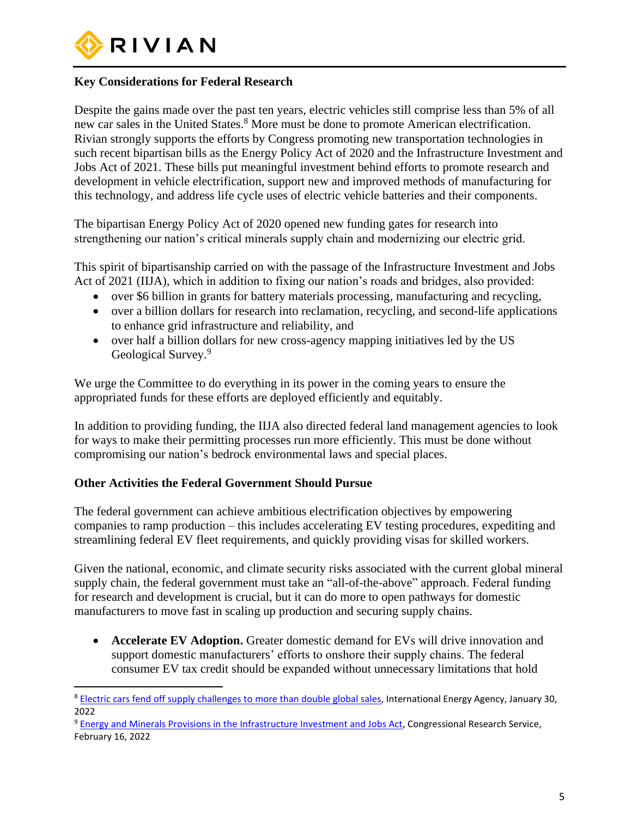

# **Key Considerations for Federal Research**

Despite the gains made over the past ten years, electric vehicles still comprise less than 5% of all new car sales in the United States.<sup>8</sup> More must be done to promote American electrification. Rivian strongly supports the efforts by Congress promoting new transportation technologies in such recent bipartisan bills as the Energy Policy Act of 2020 and the Infrastructure Investment and Jobs Act of 2021. These bills put meaningful investment behind efforts to promote research and development in vehicle electrification, support new and improved methods of manufacturing for this technology, and address life cycle uses of electric vehicle batteries and their components.

The bipartisan Energy Policy Act of 2020 opened new funding gates for research into strengthening our nation's critical minerals supply chain and modernizing our electric grid.

This spirit of bipartisanship carried on with the passage of the Infrastructure Investment and Jobs Act of 2021 (IIJA), which in addition to fixing our nation's roads and bridges, also provided:

- over \$6 billion in grants for battery materials processing, manufacturing and recycling,
- over a billion dollars for research into reclamation, recycling, and second-life applications to enhance grid infrastructure and reliability, and
- over half a billion dollars for new cross-agency mapping initiatives led by the US Geological Survey.<sup>9</sup>

We urge the Committee to do everything in its power in the coming years to ensure the appropriated funds for these efforts are deployed efficiently and equitably.

In addition to providing funding, the IIJA also directed federal land management agencies to look for ways to make their permitting processes run more efficiently. This must be done without compromising our nation's bedrock environmental laws and special places.

#### **Other Activities the Federal Government Should Pursue**

The federal government can achieve ambitious electrification objectives by empowering companies to ramp production – this includes accelerating EV testing procedures, expediting and streamlining federal EV fleet requirements, and quickly providing visas for skilled workers.

Given the national, economic, and climate security risks associated with the current global mineral supply chain, the federal government must take an "all-of-the-above" approach. Federal funding for research and development is crucial, but it can do more to open pathways for domestic manufacturers to move fast in scaling up production and securing supply chains.

• **Accelerate EV Adoption.** Greater domestic demand for EVs will drive innovation and support domestic manufacturers' efforts to onshore their supply chains. The federal consumer EV tax credit should be expanded without unnecessary limitations that hold

<sup>&</sup>lt;sup>8</sup> [Electric cars fend off supply challenges to more than double global sales,](https://www.iea.org/commentaries/electric-cars-fend-off-supply-challenges-to-more-than-double-global-sales) International Energy Agency, January 30, 2022

<sup>9</sup> Energy and Minerals Provisions in the [Infrastructure Investment and Jobs Act,](https://crsreports.congress.gov/product/pdf/R/R47034) Congressional Research Service, February 16, 2022